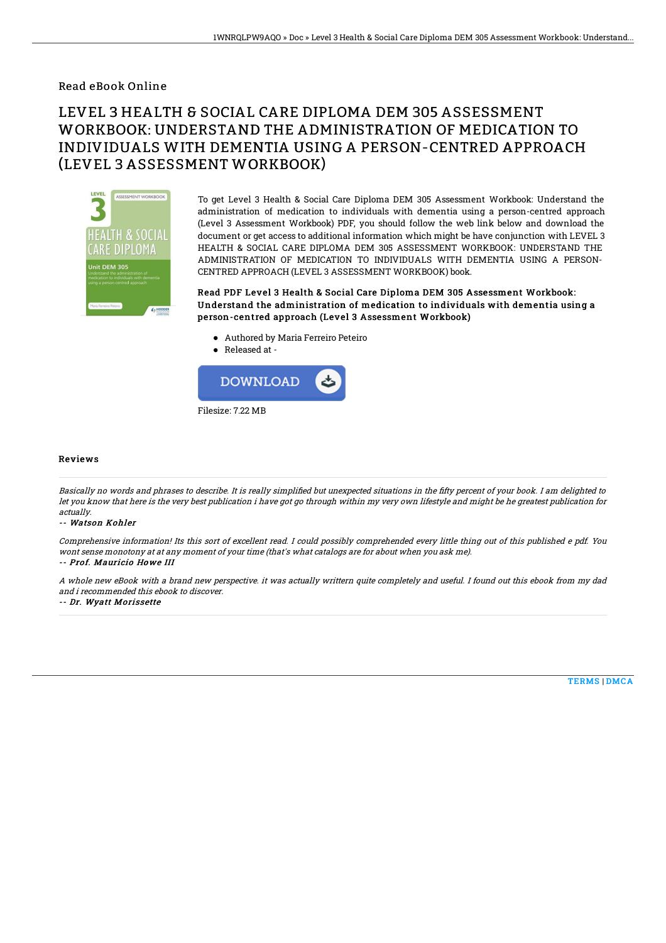Read eBook Online

# LEVEL 3 HEALTH & SOCIAL CARE DIPLOMA DEM 305 ASSESSMENT WORKBOOK: UNDERSTAND THE ADMINISTRATION OF MEDICATION TO INDIVIDUALS WITH DEMENTIA USING A PERSON-CENTRED APPROACH (LEVEL 3 ASSESSMENT WORKBOOK)



To get Level 3 Health & Social Care Diploma DEM 305 Assessment Workbook: Understand the administration of medication to individuals with dementia using a person-centred approach (Level 3 Assessment Workbook) PDF, you should follow the web link below and download the document or get access to additional information which might be have conjunction with LEVEL 3 HEALTH & SOCIAL CARE DIPLOMA DEM 305 ASSESSMENT WORKBOOK: UNDERSTAND THE ADMINISTRATION OF MEDICATION TO INDIVIDUALS WITH DEMENTIA USING A PERSON-CENTRED APPROACH (LEVEL 3 ASSESSMENT WORKBOOK) book.

Read PDF Level 3 Health & Social Care Diploma DEM 305 Assessment Workbook: Understand the administration of medication to individuals with dementia using a person-centred approach (Level 3 Assessment Workbook)

- Authored by Maria Ferreiro Peteiro
- Released at -



Filesize: 7.22 MB

### Reviews

Basically no words and phrases to describe. It is really simplified but unexpected situations in the fifty percent of your book. I am delighted to let you know that here is the very best publication i have got go through within my very own lifestyle and might be he greatest publication for actually.

#### -- Watson Kohler

Comprehensive information! Its this sort of excellent read. I could possibly comprehended every little thing out of this published <sup>e</sup> pdf. You wont sense monotony at at any moment of your time (that's what catalogs are for about when you ask me).

## -- Prof. Mauricio Howe III

A whole new eBook with <sup>a</sup> brand new perspective. it was actually writtern quite completely and useful. I found out this ebook from my dad and i recommended this ebook to discover.

-- Dr. Wyatt Morissette